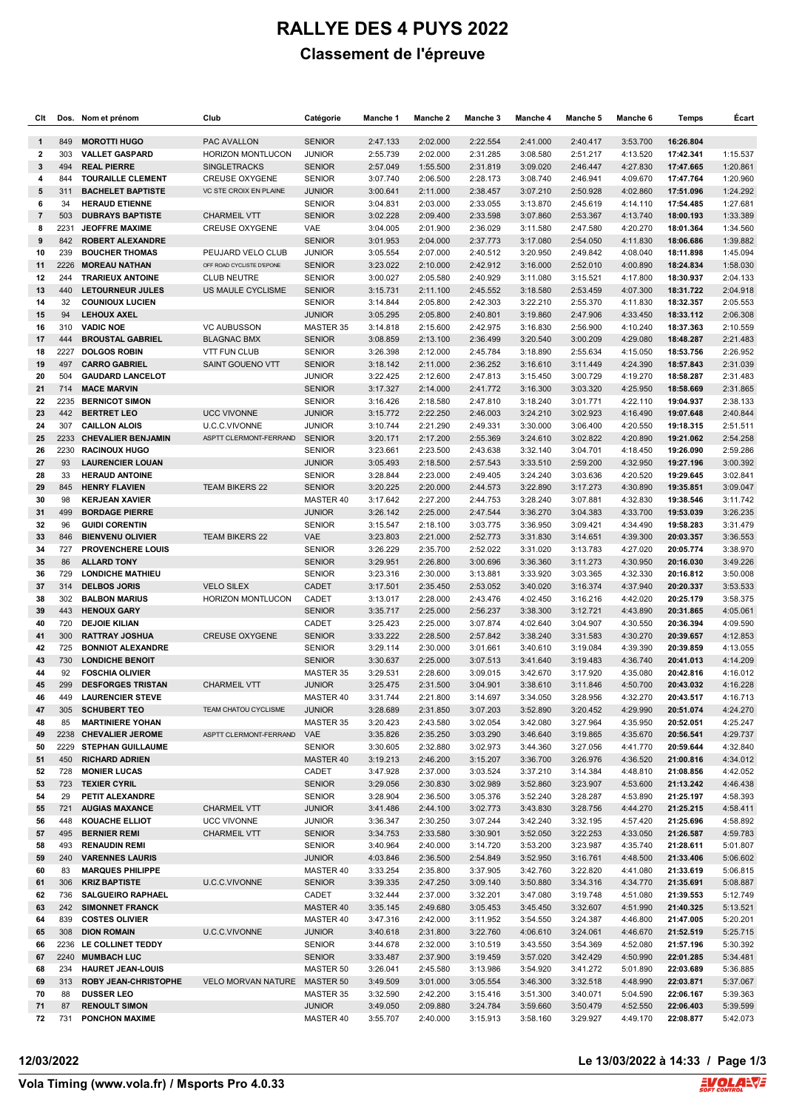# **RALLYE DES 4 PUYS 2022 Classement de l'épreuve**

| Clt            | Dos.       | Nom et prénom                                      | Club                          | Catégorie                      | Manche 1             | Manche 2             | Manche <sub>3</sub>  | Manche 4             | Manche 5             | Manche 6             | <b>Temps</b>           | Ecart                |
|----------------|------------|----------------------------------------------------|-------------------------------|--------------------------------|----------------------|----------------------|----------------------|----------------------|----------------------|----------------------|------------------------|----------------------|
| 1              | 849        | <b>MOROTTI HUGO</b>                                | PAC AVALLON                   | <b>SENIOR</b>                  | 2:47.133             | 2:02.000             | 2:22.554             | 2:41.000             | 2:40.417             | 3:53.700             | 16:26.804              |                      |
| 2              | 303        | <b>VALLET GASPARD</b>                              | HORIZON MONTLUCON             | <b>JUNIOR</b>                  | 2:55.739             | 2:02.000             | 2:31.285             | 3:08.580             | 2:51.217             | 4:13.520             | 17:42.341              | 1:15.537             |
| 3              | 494        | <b>REAL PIERRE</b>                                 | <b>SINGLETRACKS</b>           | <b>SENIOR</b>                  | 2:57.049             | 1:55.500             | 2:31.819             | 3:09.020             | 2:46.447             | 4:27.830             | 17:47.665              | 1:20.861             |
| 4              | 844        | <b>TOURAILLE CLEMENT</b>                           | <b>CREUSE OXYGENE</b>         | <b>SENIOR</b>                  | 3:07.740             | 2:06.500             | 2:28.173             | 3:08.740             | 2:46.941             | 4:09.670             | 17:47.764              | 1:20.960             |
| 5              | 311        | <b>BACHELET BAPTISTE</b>                           | <b>VC STE CROIX EN PLAINE</b> | <b>JUNIOR</b>                  | 3:00.641             | 2:11.000             | 2:38.457             | 3:07.210             | 2:50.928             | 4:02.860             | 17:51.096              | 1:24.292             |
| 6              | 34         | <b>HERAUD ETIENNE</b>                              |                               | <b>SENIOR</b>                  | 3:04.831             | 2:03.000             | 2:33.055             | 3:13.870             | 2:45.619             | 4:14.110             | 17:54.485              | 1:27.681             |
| $\overline{7}$ | 503        | <b>DUBRAYS BAPTISTE</b>                            | <b>CHARMEIL VTT</b>           | <b>SENIOR</b>                  | 3:02.228             | 2:09.400             | 2:33.598             | 3:07.860             | 2:53.367             | 4:13.740             | 18:00.193              | 1:33.389             |
| 8              | 2231       | <b>JEOFFRE MAXIME</b>                              | <b>CREUSE OXYGENE</b>         | VAE                            | 3:04.005             | 2:01.900             | 2:36.029             | 3:11.580             | 2:47.580             | 4:20.270             | 18:01.364              | 1:34.560             |
| 9              | 842        | <b>ROBERT ALEXANDRE</b>                            |                               | <b>SENIOR</b>                  | 3:01.953             | 2:04.000             | 2:37.773             | 3:17.080             | 2:54.050             | 4:11.830             | 18:06.686              | 1:39.882             |
| 10             | 239        | <b>BOUCHER THOMAS</b>                              | PEUJARD VELO CLUB             | <b>JUNIOR</b>                  | 3:05.554             | 2:07.000             | 2:40.512             | 3:20.950             | 2:49.842             | 4:08.040             | 18:11.898              | 1:45.094             |
| 11             | 2226       | <b>MOREAU NATHAN</b>                               | OFF ROAD CYCLISTE D'EPONE     | <b>SENIOR</b>                  | 3:23.022             | 2:10.000             | 2:42.912             | 3:16.000             | 2:52.010             | 4:00.890             | 18:24.834              | 1:58.030             |
| 12<br>13       | 244<br>440 | <b>TRARIEUX ANTOINE</b><br><b>LETOURNEUR JULES</b> | <b>CLUB NEUTRE</b>            | <b>SENIOR</b><br><b>SENIOR</b> | 3:00.027<br>3:15.731 | 2:05.580             | 2:40.929<br>2:45.552 | 3:11.080             | 3:15.521<br>2:53.459 | 4:17.800<br>4:07.300 | 18:30.937<br>18:31.722 | 2:04.133<br>2:04.918 |
| 14             | 32         | <b>COUNIOUX LUCIEN</b>                             | US MAULE CYCLISME             | <b>SENIOR</b>                  | 3:14.844             | 2:11.100<br>2:05.800 | 2:42.303             | 3:18.580<br>3:22.210 | 2:55.370             | 4:11.830             | 18:32.357              | 2:05.553             |
| 15             | 94         | <b>LEHOUX AXEL</b>                                 |                               | <b>JUNIOR</b>                  | 3:05.295             | 2:05.800             | 2:40.801             | 3:19.860             | 2:47.906             | 4:33.450             | 18:33.112              | 2:06.308             |
| 16             | 310        | <b>VADIC NOE</b>                                   | <b>VC AUBUSSON</b>            | MASTER 35                      | 3:14.818             | 2:15.600             | 2:42.975             | 3:16.830             | 2:56.900             | 4:10.240             | 18:37.363              | 2:10.559             |
| 17             | 444        | <b>BROUSTAL GABRIEL</b>                            | <b>BLAGNAC BMX</b>            | <b>SENIOR</b>                  | 3:08.859             | 2:13.100             | 2:36.499             | 3:20.540             | 3:00.209             | 4:29.080             | 18:48.287              | 2:21.483             |
| 18             | 2227       | <b>DOLGOS ROBIN</b>                                | <b>VTT FUN CLUB</b>           | <b>SENIOR</b>                  | 3:26.398             | 2:12.000             | 2:45.784             | 3:18.890             | 2:55.634             | 4:15.050             | 18:53.756              | 2:26.952             |
| 19             | 497        | <b>CARRO GABRIEL</b>                               | SAINT GOUENO VTT              | <b>SENIOR</b>                  | 3:18.142             | 2:11.000             | 2:36.252             | 3:16.610             | 3:11.449             | 4:24.390             | 18:57.843              | 2:31.039             |
| 20             | 504        | <b>GAUDARD LANCELOT</b>                            |                               | <b>JUNIOR</b>                  | 3:22.425             | 2:12.600             | 2:47.813             | 3:15.450             | 3:00.729             | 4:19.270             | 18:58.287              | 2:31.483             |
| 21             | 714        | <b>MACE MARVIN</b>                                 |                               | <b>SENIOR</b>                  | 3:17.327             | 2:14.000             | 2:41.772             | 3:16.300             | 3:03.320             | 4:25.950             | 18:58.669              | 2:31.865             |
| 22             | 2235       | <b>BERNICOT SIMON</b>                              |                               | <b>SENIOR</b>                  | 3:16.426             | 2:18.580             | 2:47.810             | 3:18.240             | 3:01.771             | 4:22.110             | 19:04.937              | 2:38.133             |
| 23             | 442        | <b>BERTRET LEO</b>                                 | <b>UCC VIVONNE</b>            | <b>JUNIOR</b>                  | 3:15.772             | 2:22.250             | 2:46.003             | 3:24.210             | 3:02.923             | 4:16.490             | 19:07.648              | 2:40.844             |
| 24             | 307        | <b>CAILLON ALOIS</b>                               | U.C.C.VIVONNE                 | <b>JUNIOR</b>                  | 3:10.744             | 2:21.290             | 2:49.331             | 3:30.000             | 3:06.400             | 4:20.550             | 19:18.315              | 2:51.511             |
| 25             | 2233       | <b>CHEVALIER BENJAMIN</b>                          | ASPTT CLERMONT-FERRAND        | <b>SENIOR</b>                  | 3:20.171             | 2:17.200             | 2:55.369             | 3:24.610             | 3:02.822             | 4:20.890             | 19:21.062              | 2:54.258             |
| 26             | 2230       | <b>RACINOUX HUGO</b>                               |                               | <b>SENIOR</b>                  | 3:23.661             | 2:23.500             | 2:43.638             | 3:32.140             | 3:04.701             | 4:18.450             | 19:26.090              | 2:59.286             |
| 27             | 93         | <b>LAURENCIER LOUAN</b>                            |                               | <b>JUNIOR</b>                  | 3:05.493             | 2:18.500             | 2:57.543             | 3:33.510             | 2:59.200             | 4:32.950             | 19:27.196              | 3:00.392             |
| 28             | 33         | <b>HERAUD ANTOINE</b>                              |                               | <b>SENIOR</b>                  | 3:28.844             | 2:23.000             | 2:49.405             | 3:24.240             | 3:03.636             | 4:20.520             | 19:29.645              | 3:02.841             |
| 29             | 845        | <b>HENRY FLAVIEN</b>                               | <b>TEAM BIKERS 22</b>         | <b>SENIOR</b>                  | 3:20.225             | 2:20.000             | 2:44.573             | 3:22.890             | 3:17.273             | 4:30.890             | 19:35.851              | 3:09.047             |
| 30<br>31       | 98<br>499  | <b>KERJEAN XAVIER</b><br><b>BORDAGE PIERRE</b>     |                               | MASTER 40<br><b>JUNIOR</b>     | 3:17.642<br>3:26.142 | 2:27.200             | 2:44.753<br>2:47.544 | 3:28.240<br>3:36.270 | 3:07.881             | 4:32.830<br>4:33.700 | 19:38.546<br>19:53.039 | 3:11.742             |
| 32             | 96         | <b>GUIDI CORENTIN</b>                              |                               | <b>SENIOR</b>                  | 3:15.547             | 2:25.000<br>2:18.100 | 3:03.775             | 3:36.950             | 3:04.383<br>3:09.421 | 4:34.490             | 19:58.283              | 3:26.235<br>3:31.479 |
| 33             | 846        | <b>BIENVENU OLIVIER</b>                            | <b>TEAM BIKERS 22</b>         | VAE                            | 3:23.803             | 2:21.000             | 2:52.773             | 3:31.830             | 3:14.651             | 4:39.300             | 20:03.357              | 3:36.553             |
| 34             | 727        | <b>PROVENCHERE LOUIS</b>                           |                               | <b>SENIOR</b>                  | 3:26.229             | 2:35.700             | 2:52.022             | 3:31.020             | 3:13.783             | 4:27.020             | 20:05.774              | 3:38.970             |
| 35             | 86         | <b>ALLARD TONY</b>                                 |                               | <b>SENIOR</b>                  | 3:29.951             | 2:26.800             | 3:00.696             | 3:36.360             | 3:11.273             | 4:30.950             | 20:16.030              | 3:49.226             |
| 36             | 729        | <b>LONDICHE MATHIEU</b>                            |                               | <b>SENIOR</b>                  | 3:23.316             | 2:30.000             | 3:13.881             | 3:33.920             | 3:03.365             | 4:32.330             | 20:16.812              | 3:50.008             |
| 37             | 314        | <b>DELBOS JORIS</b>                                | <b>VELO SILEX</b>             | CADET                          | 3:17.501             | 2:35.450             | 2:53.052             | 3:40.020             | 3:16.374             | 4:37.940             | 20:20.337              | 3:53.533             |
| 38             | 302        | <b>BALBON MARIUS</b>                               | <b>HORIZON MONTLUCON</b>      | CADET                          | 3:13.017             | 2:28.000             | 2:43.476             | 4:02.450             | 3:16.216             | 4:42.020             | 20:25.179              | 3:58.375             |
| 39             | 443        | <b>HENOUX GARY</b>                                 |                               | <b>SENIOR</b>                  | 3:35.717             | 2:25.000             | 2:56.237             | 3:38.300             | 3:12.721             | 4:43.890             | 20:31.865              | 4:05.061             |
| 40             | 720        | <b>DEJOIE KILIAN</b>                               |                               | CADET                          | 3:25.423             | 2:25.000             | 3:07.874             | 4:02.640             | 3:04.907             | 4:30.550             | 20:36.394              | 4:09.590             |
| 41             | 300        | <b>RATTRAY JOSHUA</b>                              | <b>CREUSE OXYGENE</b>         | <b>SENIOR</b>                  | 3:33.222             | 2:28.500             | 2:57.842             | 3:38.240             | 3:31.583             | 4:30.270             | 20:39.657              | 4:12.853             |
| 42             | 725        | <b>BONNIOT ALEXANDRE</b>                           |                               | <b>SENIOR</b>                  | 3:29.114             | 2:30.000             | 3:01.661             | 3:40.610             | 3:19.084             | 4:39.390             | 20:39.859              | 4:13.055             |
| 43             | 730        | <b>LONDICHE BENOIT</b>                             |                               | <b>SENIOR</b>                  | 3:30.637             | 2:25.000             | 3:07.513             | 3:41.640             | 3:19.483             | 4:36.740             | 20:41.013              | 4:14.209             |
| 44             | 92<br>299  | <b>FOSCHIA OLIVIER</b><br><b>DESFORGES TRISTAN</b> | <b>CHARMEIL VTT</b>           | MASTER 35                      | 3:29.531             | 2:28.600             | 3:09.015             | 3:42.670             | 3:17.920             | 4:35.080             | 20:42.816              | 4:16.012             |
| 45<br>46       | 449        | <b>LAURENCIER STEVE</b>                            |                               | <b>JUNIOR</b><br>MASTER 40     | 3:25.475<br>3:31.744 | 2:31.500<br>2:21.800 | 3:04.901<br>3:14.697 | 3:38.610<br>3:34.050 | 3:11.846<br>3:28.956 | 4:50.700<br>4:32.270 | 20:43.032<br>20:43.517 | 4:16.228<br>4:16.713 |
| 47             | 305        | <b>SCHUBERT TEO</b>                                | TEAM CHATOU CYCLISME          | <b>JUNIOR</b>                  | 3:28.689             | 2:31.850             | 3:07.203             | 3:52.890             | 3:20.452             | 4:29.990             | 20:51.074              | 4:24.270             |
| 48             | 85         | <b>MARTINIERE YOHAN</b>                            |                               | MASTER 35                      | 3:20.423             | 2:43.580             | 3:02.054             | 3:42.080             | 3:27.964             | 4:35.950             | 20:52.051              | 4:25.247             |
| 49             |            | 2238 CHEVALIER JEROME                              | ASPTT CLERMONT-FERRAND        | VAE                            | 3:35.826             | 2:35.250             | 3:03.290             | 3:46.640             | 3:19.865             | 4:35.670             | 20:56.541              | 4:29.737             |
| 50             | 2229       | <b>STEPHAN GUILLAUME</b>                           |                               | <b>SENIOR</b>                  | 3:30.605             | 2:32.880             | 3:02.973             | 3:44.360             | 3:27.056             | 4:41.770             | 20:59.644              | 4:32.840             |
| 51             | 450        | <b>RICHARD ADRIEN</b>                              |                               | MASTER 40                      | 3:19.213             | 2:46.200             | 3:15.207             | 3:36.700             | 3:26.976             | 4:36.520             | 21:00.816              | 4:34.012             |
| 52             | 728        | <b>MONIER LUCAS</b>                                |                               | CADET                          | 3:47.928             | 2:37.000             | 3:03.524             | 3:37.210             | 3:14.384             | 4:48.810             | 21:08.856              | 4:42.052             |
| 53             | 723        | <b>TEXIER CYRIL</b>                                |                               | <b>SENIOR</b>                  | 3:29.056             | 2:30.830             | 3:02.989             | 3:52.860             | 3:23.907             | 4:53.600             | 21:13.242              | 4:46.438             |
| 54             | 29         | PETIT ALEXANDRE                                    |                               | <b>SENIOR</b>                  | 3:28.904             | 2:36.500             | 3:05.376             | 3:52.240             | 3:28.287             | 4:53.890             | 21:25.197              | 4:58.393             |
| 55             | 721        | <b>AUGIAS MAXANCE</b>                              | <b>CHARMEIL VTT</b>           | <b>JUNIOR</b>                  | 3:41.486             | 2:44.100             | 3:02.773             | 3:43.830             | 3:28.756             | 4:44.270             | 21:25.215              | 4:58.411             |
| 56             | 448        | <b>KOUACHE ELLIOT</b>                              | <b>UCC VIVONNE</b>            | <b>JUNIOR</b>                  | 3:36.347             | 2:30.250             | 3:07.244             | 3:42.240             | 3:32.195             | 4:57.420             | 21:25.696              | 4:58.892             |
| 57             | 495        | <b>BERNIER REMI</b>                                | <b>CHARMEIL VTT</b>           | <b>SENIOR</b>                  | 3:34.753             | 2:33.580             | 3:30.901             | 3:52.050             | 3:22.253             | 4:33.050             | 21:26.587              | 4:59.783             |
| 58             | 493        | <b>RENAUDIN REMI</b>                               |                               | <b>SENIOR</b>                  | 3:40.964             | 2:40.000             | 3:14.720             | 3:53.200             | 3:23.987             | 4:35.740             | 21:28.611              | 5:01.807             |
| 59<br>60       | 240<br>83  | <b>VARENNES LAURIS</b><br><b>MARQUES PHILIPPE</b>  |                               | <b>JUNIOR</b><br>MASTER 40     | 4:03.846<br>3:33.254 | 2:36.500<br>2:35.800 | 2:54.849<br>3:37.905 | 3:52.950<br>3:42.760 | 3:16.761<br>3:22.820 | 4:48.500<br>4:41.080 | 21:33.406<br>21:33.619 | 5:06.602<br>5:06.815 |
| 61             | 306        | <b>KRIZ BAPTISTE</b>                               | U.C.C.VIVONNE                 | <b>SENIOR</b>                  | 3:39.335             | 2:47.250             | 3:09.140             | 3:50.880             | 3:34.316             | 4:34.770             | 21:35.691              | 5:08.887             |
| 62             | 736        | <b>SALGUEIRO RAPHAEL</b>                           |                               | CADET                          | 3:32.444             | 2:37.000             | 3:32.201             | 3:47.080             | 3:19.748             | 4:51.080             | 21:39.553              | 5:12.749             |
| 63             | 242        | <b>SIMONNET FRANCK</b>                             |                               | MASTER 40                      | 3:35.145             | 2:49.680             | 3:05.453             | 3:45.450             | 3:32.607             | 4:51.990             | 21:40.325              | 5:13.521             |
| 64             | 839        | <b>COSTES OLIVIER</b>                              |                               | MASTER 40                      | 3:47.316             | 2:42.000             | 3:11.952             | 3:54.550             | 3:24.387             | 4:46.800             | 21:47.005              | 5:20.201             |
| 65             | 308        | <b>DION ROMAIN</b>                                 | U.C.C.VIVONNE                 | <b>JUNIOR</b>                  | 3:40.618             | 2:31.800             | 3:22.760             | 4:06.610             | 3:24.061             | 4:46.670             | 21:52.519              | 5:25.715             |
| 66             |            | 2236 LE COLLINET TEDDY                             |                               | <b>SENIOR</b>                  | 3:44.678             | 2:32.000             | 3:10.519             | 3:43.550             | 3:54.369             | 4:52.080             | 21:57.196              | 5:30.392             |
| 67             | 2240       | <b>MUMBACH LUC</b>                                 |                               | <b>SENIOR</b>                  | 3:33.487             | 2:37.900             | 3:19.459             | 3:57.020             | 3:42.429             | 4:50.990             | 22:01.285              | 5:34.481             |
| 68             | 234        | <b>HAURET JEAN-LOUIS</b>                           |                               | MASTER 50                      | 3:26.041             | 2:45.580             | 3:13.986             | 3:54.920             | 3:41.272             | 5:01.890             | 22:03.689              | 5:36.885             |
| 69             | 313        | <b>ROBY JEAN CHRISTOPHE</b>                        | VELO MORVAN NATURE            | <b>MASTER 50</b>               | 3:49.509             | 3:01.000             | 3:05.554             | 3:46.300             | 3:32.518             | 4:48.990             | 22:03.871              | 5:37.067             |
| 70             | 88         | <b>DUSSER LEO</b>                                  |                               | MASTER 35                      | 3:32.590             | 2:42.200             | 3:15.416             | 3:51.300             | 3:40.071             | 5:04.590             | 22:06.167              | 5:39.363             |
| 71             | 87         | <b>RENOULT SIMON</b>                               |                               | <b>JUNIOR</b>                  | 3:49.050             | 2:09.880             | 3:24.784             | 3:59.660             | 3:50.479             | 4:52.550             | 22:06.403              | 5:39.599             |
| 72             | 731        | <b>PONCHON MAXIME</b>                              |                               | MASTER 40                      | 3:55.707             | 2:40.000             | 3:15.913             | 3:58.160             | 3:29.927             | 4:49.170             | 22:08.877              | 5:42.073             |

**12/03/2022 Le 13/03/2022 à 14:33 / Page 1/3**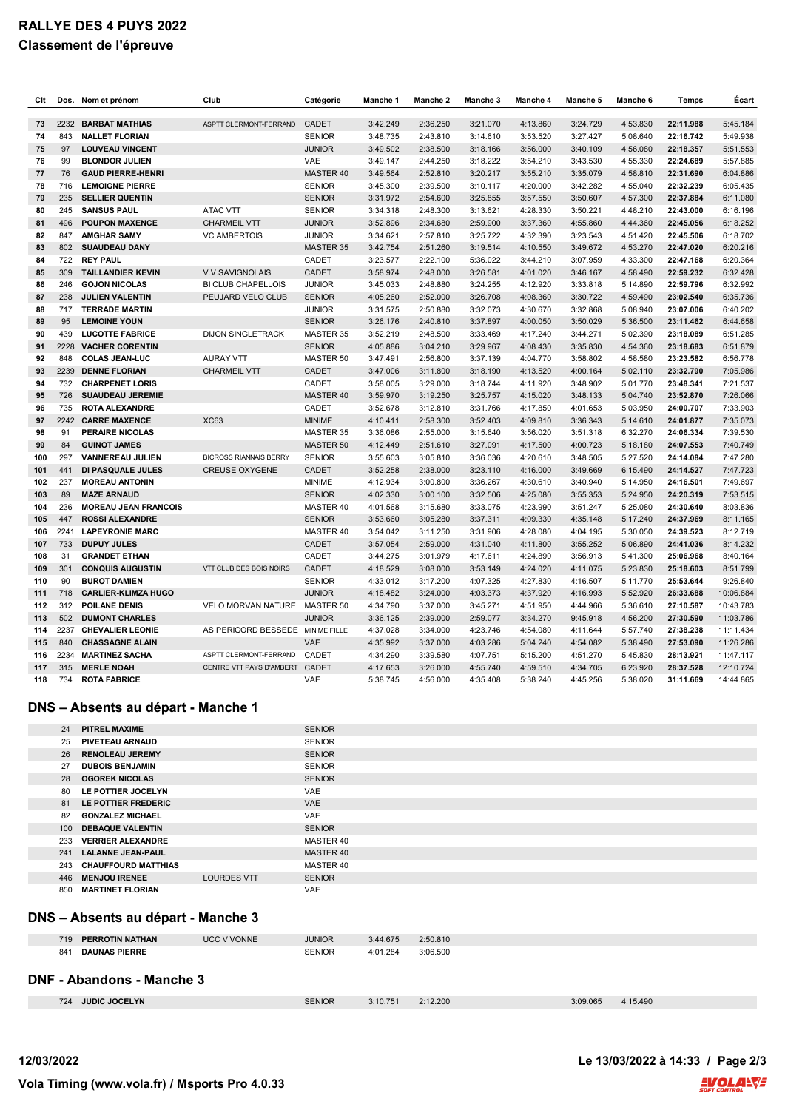## **RALLYE DES 4 PUYS 2022 Classement de l'épreuve**

| Clt | Dos. | Nom et prénom               | Club                             | Catégorie     | Manche 1 | Manche 2 | Manche <sub>3</sub> | Manche 4 | Manche 5 | Manche 6 | Temps     | Écart     |
|-----|------|-----------------------------|----------------------------------|---------------|----------|----------|---------------------|----------|----------|----------|-----------|-----------|
| 73  | 2232 | <b>BARBAT MATHIAS</b>       | ASPTT CLERMONT-FERRAND           | CADET         | 3:42.249 | 2:36.250 | 3:21.070            | 4:13.860 | 3:24.729 | 4:53.830 | 22:11.988 | 5:45.184  |
| 74  | 843  | <b>NALLET FLORIAN</b>       |                                  | <b>SENIOR</b> | 3:48.735 | 2:43.810 | 3:14.610            | 3:53.520 | 3:27.427 | 5:08.640 | 22:16.742 | 5:49.938  |
| 75  | 97   | <b>LOUVEAU VINCENT</b>      |                                  | <b>JUNIOR</b> | 3:49.502 | 2:38.500 | 3:18.166            | 3:56.000 | 3:40.109 | 4:56.080 | 22:18.357 | 5:51.553  |
| 76  | 99   | <b>BLONDOR JULIEN</b>       |                                  | <b>VAE</b>    | 3:49.147 | 2:44.250 | 3:18.222            | 3:54.210 | 3:43.530 | 4:55.330 | 22:24.689 | 5:57.885  |
| 77  | 76   | <b>GAUD PIERRE-HENRI</b>    |                                  | MASTER 40     | 3:49.564 | 2:52.810 | 3:20.217            | 3:55.210 | 3:35.079 | 4:58.810 | 22:31.690 | 6:04.886  |
| 78  | 716  | <b>LEMOIGNE PIERRE</b>      |                                  | <b>SENIOR</b> | 3:45.300 | 2:39.500 | 3:10.117            | 4:20.000 | 3:42.282 | 4:55.040 | 22:32.239 | 6:05.435  |
| 79  | 235  | <b>SELLIER QUENTIN</b>      |                                  | <b>SENIOR</b> | 3:31.972 | 2:54.600 | 3:25.855            | 3:57.550 | 3:50.607 | 4:57.300 | 22:37.884 | 6:11.080  |
| 80  | 245  | <b>SANSUS PAUL</b>          | ATAC VTT                         | <b>SENIOR</b> | 3:34.318 | 2:48.300 | 3:13.621            | 4:28.330 | 3:50.221 | 4:48.210 | 22:43.000 | 6:16.196  |
| 81  | 496  | <b>POUPON MAXENCE</b>       | <b>CHARMEIL VTT</b>              | <b>JUNIOR</b> | 3:52.896 | 2:34.680 | 2:59.900            | 3:37.360 | 4:55.860 | 4:44.360 | 22:45.056 | 6:18.252  |
| 82  | 847  | <b>AMGHAR SAMY</b>          | <b>VC AMBERTOIS</b>              | <b>JUNIOR</b> | 3:34.621 | 2:57.810 | 3:25.722            | 4:32.390 | 3:23.543 | 4:51.420 | 22:45.506 | 6:18.702  |
| 83  | 802  | <b>SUAUDEAU DANY</b>        |                                  | MASTER 35     | 3:42.754 | 2:51.260 | 3:19.514            | 4:10.550 | 3:49.672 | 4:53.270 | 22:47.020 | 6:20.216  |
| 84  | 722  | <b>REY PAUL</b>             |                                  | CADET         | 3:23.577 | 2:22.100 | 5:36.022            | 3:44.210 | 3:07.959 | 4:33.300 | 22:47.168 | 6:20.364  |
| 85  | 309  | <b>TAILLANDIER KEVIN</b>    | V.V.SAVIGNOLAIS                  | CADET         | 3:58.974 | 2:48.000 | 3:26.581            | 4:01.020 | 3:46.167 | 4:58.490 | 22:59.232 | 6:32.428  |
| 86  | 246  | <b>GOJON NICOLAS</b>        | <b>BI CLUB CHAPELLOIS</b>        | <b>JUNIOR</b> | 3:45.033 | 2:48.880 | 3:24.255            | 4:12.920 | 3:33.818 | 5:14.890 | 22:59.796 | 6:32.992  |
| 87  | 238  | <b>JULIEN VALENTIN</b>      | PEUJARD VELO CLUB                | <b>SENIOR</b> | 4:05.260 | 2:52.000 | 3:26.708            | 4:08.360 | 3:30.722 | 4:59.490 | 23:02.540 | 6:35.736  |
| 88  | 717  | <b>TERRADE MARTIN</b>       |                                  | <b>JUNIOR</b> | 3:31.575 | 2:50.880 | 3:32.073            | 4:30.670 | 3:32.868 | 5:08.940 | 23:07.006 | 6:40.202  |
| 89  | 95   | <b>LEMOINE YOUN</b>         |                                  | <b>SENIOR</b> | 3:26.176 | 2:40.810 | 3:37.897            | 4:00.050 | 3:50.029 | 5:36.500 | 23:11.462 | 6:44.658  |
| 90  | 439  | <b>LUCOTTE FABRICE</b>      | <b>DIJON SINGLETRACK</b>         | MASTER 35     | 3:52.219 | 2:48.500 | 3:33.469            | 4:17.240 | 3:44.271 | 5:02.390 | 23:18.089 | 6:51.285  |
| 91  | 2228 | <b>VACHER CORENTIN</b>      |                                  | <b>SENIOR</b> | 4:05.886 | 3:04.210 | 3:29.967            | 4:08.430 | 3:35.830 | 4:54.360 | 23:18.683 | 6:51.879  |
| 92  | 848  | <b>COLAS JEAN-LUC</b>       | <b>AURAY VTT</b>                 | MASTER 50     | 3:47.491 | 2:56.800 | 3:37.139            | 4:04.770 | 3:58.802 | 4:58.580 | 23:23.582 | 6:56.778  |
| 93  | 2239 | <b>DENNE FLORIAN</b>        | <b>CHARMEIL VTT</b>              | CADET         | 3:47.006 | 3:11.800 | 3:18.190            | 4:13.520 | 4:00.164 | 5:02.110 | 23:32.790 | 7:05.986  |
| 94  | 732  | <b>CHARPENET LORIS</b>      |                                  | CADET         | 3:58.005 | 3:29.000 | 3:18.744            | 4:11.920 | 3:48.902 | 5:01.770 | 23:48.341 | 7:21.537  |
| 95  | 726  | <b>SUAUDEAU JEREMIE</b>     |                                  | MASTER 40     | 3:59.970 | 3:19.250 | 3:25.757            | 4:15.020 | 3:48.133 | 5:04.740 | 23:52.870 | 7:26.066  |
| 96  | 735  | <b>ROTA ALEXANDRE</b>       |                                  | CADET         | 3:52.678 | 3:12.810 | 3:31.766            | 4:17.850 | 4:01.653 | 5:03.950 | 24:00.707 | 7:33.903  |
| 97  |      | 2242 CARRE MAXENCE          | <b>XC63</b>                      | <b>MINIME</b> | 4:10.411 | 2:58.300 | 3:52.403            | 4:09.810 | 3:36.343 | 5:14.610 | 24:01.877 | 7:35.073  |
| 98  | 91   | PERAIRE NICOLAS             |                                  | MASTER 35     | 3:36.086 | 2:55.000 | 3:15.640            | 3:56.020 | 3:51.318 | 6:32.270 | 24:06.334 | 7:39.530  |
| 99  | 84   | <b>GUINOT JAMES</b>         |                                  | MASTER 50     | 4:12.449 | 2:51.610 | 3:27.091            | 4:17.500 | 4:00.723 | 5:18.180 | 24:07.553 | 7:40.749  |
| 100 | 297  | <b>VANNEREAU JULIEN</b>     | <b>BICROSS RIANNAIS BERRY</b>    | <b>SENIOR</b> | 3:55.603 | 3:05.810 | 3:36.036            | 4:20.610 | 3:48.505 | 5:27.520 | 24:14.084 | 7:47.280  |
| 101 | 441  | DI PASQUALE JULES           | <b>CREUSE OXYGENE</b>            | CADET         | 3:52.258 | 2:38.000 | 3:23.110            | 4:16.000 | 3:49.669 | 6:15.490 | 24:14.527 | 7:47.723  |
| 102 | 237  | <b>MOREAU ANTONIN</b>       |                                  | <b>MINIME</b> | 4:12.934 | 3:00.800 | 3:36.267            | 4:30.610 | 3:40.940 | 5:14.950 | 24:16.501 | 7:49.697  |
| 103 | 89   | <b>MAZE ARNAUD</b>          |                                  | <b>SENIOR</b> | 4:02.330 | 3:00.100 | 3:32.506            | 4:25.080 | 3:55.353 | 5:24.950 | 24:20.319 | 7:53.515  |
| 104 | 236  | <b>MOREAU JEAN FRANCOIS</b> |                                  | MASTER 40     | 4:01.568 | 3:15.680 | 3:33.075            | 4:23.990 | 3:51.247 | 5:25.080 | 24:30.640 | 8:03.836  |
| 105 | 447  | <b>ROSSI ALEXANDRE</b>      |                                  | <b>SENIOR</b> | 3:53.660 | 3:05.280 | 3:37.311            | 4:09.330 | 4:35.148 | 5:17.240 | 24:37.969 | 8:11.165  |
| 106 | 2241 | <b>LAPEYRONIE MARC</b>      |                                  | MASTER 40     | 3:54.042 | 3:11.250 | 3:31.906            | 4:28.080 | 4:04.195 | 5:30.050 | 24:39.523 | 8:12.719  |
| 107 | 733  | <b>DUPUY JULES</b>          |                                  | CADET         | 3:57.054 | 2:59.000 | 4:31.040            | 4:11.800 | 3:55.252 | 5:06.890 | 24:41.036 | 8:14.232  |
| 108 | 31   | <b>GRANDET ETHAN</b>        |                                  | CADET         | 3:44.275 | 3:01.979 | 4:17.611            | 4:24.890 | 3:56.913 | 5:41.300 | 25:06.968 | 8:40.164  |
| 109 | 301  | <b>CONQUIS AUGUSTIN</b>     | VTT CLUB DES BOIS NOIRS          | CADET         | 4:18.529 | 3:08.000 | 3:53.149            | 4:24.020 | 4:11.075 | 5:23.830 | 25:18.603 | 8:51.799  |
| 110 | 90   | <b>BUROT DAMIEN</b>         |                                  | <b>SENIOR</b> | 4:33.012 | 3:17.200 | 4:07.325            | 4:27.830 | 4:16.507 | 5:11.770 | 25:53.644 | 9:26.840  |
| 111 | 718  | <b>CARLIER-KLIMZA HUGO</b>  |                                  | <b>JUNIOR</b> | 4:18.482 | 3:24.000 | 4:03.373            | 4:37.920 | 4:16.993 | 5:52.920 | 26:33.688 | 10:06.884 |
| 112 | 312  | <b>POILANE DENIS</b>        | VELO MORVAN NATURE MASTER 50     |               | 4:34.790 | 3:37.000 | 3:45.271            | 4:51.950 | 4:44.966 | 5:36.610 | 27:10.587 | 10:43.783 |
| 113 | 502  | <b>DUMONT CHARLES</b>       |                                  | <b>JUNIOR</b> | 3:36.125 | 2:39.000 | 2:59.077            | 3:34.270 | 9:45.918 | 4:56.200 | 27:30.590 | 11:03.786 |
| 114 | 2237 | <b>CHEVALIER LEONIE</b>     | AS PERIGORD BESSEDE MINIME FILLE |               | 4:37.028 | 3:34.000 | 4:23.746            | 4:54.080 | 4:11.644 | 5:57.740 | 27:38.238 | 11:11.434 |
| 115 | 840  | <b>CHASSAGNE ALAIN</b>      |                                  | <b>VAE</b>    | 4:35.992 | 3:37.000 | 4:03.286            | 5:04.240 | 4:54.082 | 5:38.490 | 27:53.090 | 11:26.286 |
| 116 | 2234 | <b>MARTINEZ SACHA</b>       | ASPTT CLERMONT-FERRAND           | CADET         | 4:34.290 | 3:39.580 | 4:07.751            | 5:15.200 | 4:51.270 | 5:45.830 | 28:13.921 | 11:47.117 |
| 117 | 315  | <b>MERLE NOAH</b>           | CENTRE VTT PAYS D'AMBERT         | CADET         | 4:17.653 | 3:26.000 | 4:55.740            | 4:59.510 | 4:34.705 | 6:23.920 | 28:37.528 | 12:10.724 |
| 118 | 734  | <b>ROTA FABRICE</b>         |                                  | VAE           | 5:38.745 | 4:56.000 | 4:35.408            | 5:38.240 | 4:45.256 | 5:38.020 | 31:11.669 | 14:44.865 |

#### **DNS – Absents au départ - Manche 1**

| 24  | <b>PITREL MAXIME</b>       |                    | <b>SENIOR</b> |
|-----|----------------------------|--------------------|---------------|
| 25  | PIVETEAU ARNAUD            |                    | <b>SENIOR</b> |
| 26  | <b>RENOLEAU JEREMY</b>     |                    | <b>SENIOR</b> |
| 27  | <b>DUBOIS BENJAMIN</b>     |                    | <b>SENIOR</b> |
| 28  | <b>OGOREK NICOLAS</b>      |                    | <b>SENIOR</b> |
| 80  | LE POTTIER JOCELYN         |                    | <b>VAE</b>    |
| 81  | LE POTTIER FREDERIC        |                    | <b>VAE</b>    |
| 82  | <b>GONZALEZ MICHAEL</b>    |                    | <b>VAE</b>    |
| 100 | <b>DEBAQUE VALENTIN</b>    |                    | <b>SENIOR</b> |
| 233 | <b>VERRIER ALEXANDRE</b>   |                    | MASTER 40     |
| 241 | <b>LALANNE JEAN-PAUL</b>   |                    | MASTER 40     |
| 243 | <b>CHAUFFOURD MATTHIAS</b> |                    | MASTER 40     |
| 446 | <b>MENJOU IRENEE</b>       | <b>LOURDES VTT</b> | <b>SENIOR</b> |
| 850 | <b>MARTINET FLORIAN</b>    |                    | <b>VAE</b>    |
|     |                            |                    |               |

### **DNS – Absents au départ - Manche 3**

| 719<br>841 | <b>PERROTIN NATHAN</b><br><b>DAUNAS PIERRE</b> | <b>UCC VIVONNE</b> | <b>JUNIOR</b><br><b>SENIOR</b> | 3:44.675<br>4:01.284 | 2:50.810<br>3:06.500 |          |          |
|------------|------------------------------------------------|--------------------|--------------------------------|----------------------|----------------------|----------|----------|
|            | <b>DNF - Abandons - Manche 3</b>               |                    |                                |                      |                      |          |          |
| 724        | <b>JUDIC JOCELYN</b>                           |                    | <b>SENIOR</b>                  | 3:10.751             | 2:12.200             | 3:09.065 | 4:15.490 |
|            |                                                |                    |                                |                      |                      |          |          |

**12/03/2022 Le 13/03/2022 à 14:33 / Page 2/3**